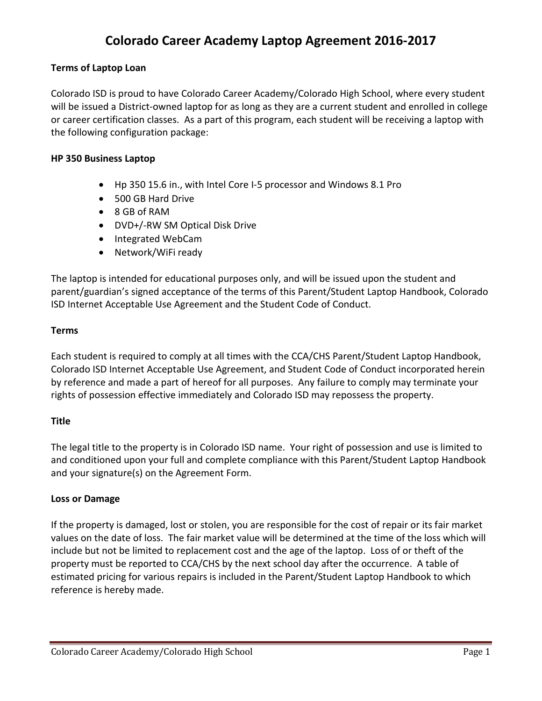### **Terms of Laptop Loan**

Colorado ISD is proud to have Colorado Career Academy/Colorado High School, where every student will be issued a District-owned laptop for as long as they are a current student and enrolled in college or career certification classes. As a part of this program, each student will be receiving a laptop with the following configuration package:

### **HP 350 Business Laptop**

- Hp 350 15.6 in., with Intel Core I-5 processor and Windows 8.1 Pro
- 500 GB Hard Drive
- 8 GB of RAM
- DVD+/-RW SM Optical Disk Drive
- Integrated WebCam
- Network/WiFi ready

The laptop is intended for educational purposes only, and will be issued upon the student and parent/guardian's signed acceptance of the terms of this Parent/Student Laptop Handbook, Colorado ISD Internet Acceptable Use Agreement and the Student Code of Conduct.

### **Terms**

Each student is required to comply at all times with the CCA/CHS Parent/Student Laptop Handbook, Colorado ISD Internet Acceptable Use Agreement, and Student Code of Conduct incorporated herein by reference and made a part of hereof for all purposes. Any failure to comply may terminate your rights of possession effective immediately and Colorado ISD may repossess the property.

### **Title**

The legal title to the property is in Colorado ISD name. Your right of possession and use is limited to and conditioned upon your full and complete compliance with this Parent/Student Laptop Handbook and your signature(s) on the Agreement Form.

### **Loss or Damage**

If the property is damaged, lost or stolen, you are responsible for the cost of repair or its fair market values on the date of loss. The fair market value will be determined at the time of the loss which will include but not be limited to replacement cost and the age of the laptop. Loss of or theft of the property must be reported to CCA/CHS by the next school day after the occurrence. A table of estimated pricing for various repairs is included in the Parent/Student Laptop Handbook to which reference is hereby made.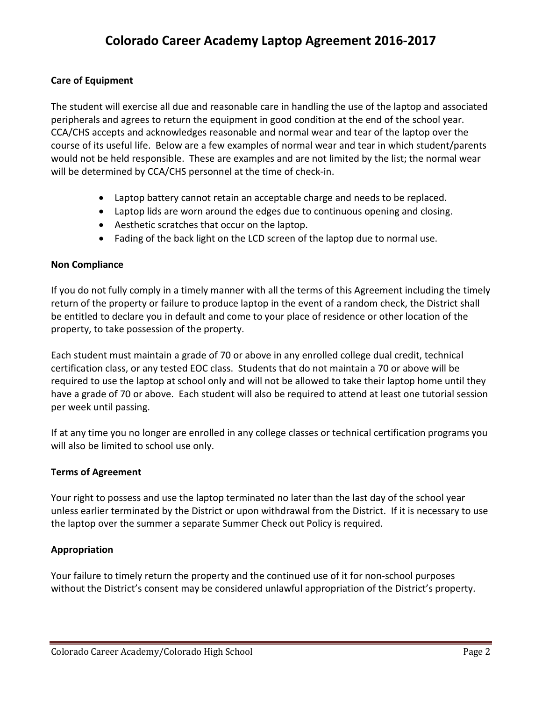### **Care of Equipment**

The student will exercise all due and reasonable care in handling the use of the laptop and associated peripherals and agrees to return the equipment in good condition at the end of the school year. CCA/CHS accepts and acknowledges reasonable and normal wear and tear of the laptop over the course of its useful life. Below are a few examples of normal wear and tear in which student/parents would not be held responsible. These are examples and are not limited by the list; the normal wear will be determined by CCA/CHS personnel at the time of check-in.

- Laptop battery cannot retain an acceptable charge and needs to be replaced.
- Laptop lids are worn around the edges due to continuous opening and closing.
- Aesthetic scratches that occur on the laptop.
- Fading of the back light on the LCD screen of the laptop due to normal use.

### **Non Compliance**

If you do not fully comply in a timely manner with all the terms of this Agreement including the timely return of the property or failure to produce laptop in the event of a random check, the District shall be entitled to declare you in default and come to your place of residence or other location of the property, to take possession of the property.

Each student must maintain a grade of 70 or above in any enrolled college dual credit, technical certification class, or any tested EOC class. Students that do not maintain a 70 or above will be required to use the laptop at school only and will not be allowed to take their laptop home until they have a grade of 70 or above. Each student will also be required to attend at least one tutorial session per week until passing.

If at any time you no longer are enrolled in any college classes or technical certification programs you will also be limited to school use only.

### **Terms of Agreement**

Your right to possess and use the laptop terminated no later than the last day of the school year unless earlier terminated by the District or upon withdrawal from the District. If it is necessary to use the laptop over the summer a separate Summer Check out Policy is required.

### **Appropriation**

Your failure to timely return the property and the continued use of it for non-school purposes without the District's consent may be considered unlawful appropriation of the District's property.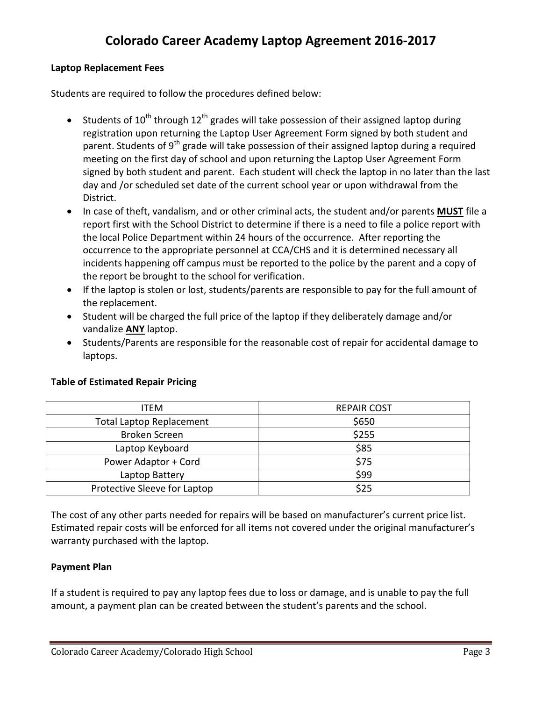### **Laptop Replacement Fees**

Students are required to follow the procedures defined below:

- Students of  $10^{th}$  through  $12^{th}$  grades will take possession of their assigned laptop during registration upon returning the Laptop User Agreement Form signed by both student and parent. Students of 9<sup>th</sup> grade will take possession of their assigned laptop during a required meeting on the first day of school and upon returning the Laptop User Agreement Form signed by both student and parent. Each student will check the laptop in no later than the last day and /or scheduled set date of the current school year or upon withdrawal from the District.
- In case of theft, vandalism, and or other criminal acts, the student and/or parents **MUST** file a report first with the School District to determine if there is a need to file a police report with the local Police Department within 24 hours of the occurrence. After reporting the occurrence to the appropriate personnel at CCA/CHS and it is determined necessary all incidents happening off campus must be reported to the police by the parent and a copy of the report be brought to the school for verification.
- If the laptop is stolen or lost, students/parents are responsible to pay for the full amount of the replacement.
- Student will be charged the full price of the laptop if they deliberately damage and/or vandalize **ANY** laptop.
- Students/Parents are responsible for the reasonable cost of repair for accidental damage to laptops.

| <b>ITEM</b>                     | <b>REPAIR COST</b> |
|---------------------------------|--------------------|
| <b>Total Laptop Replacement</b> | \$650              |
| <b>Broken Screen</b>            | \$255              |
| Laptop Keyboard                 | \$85               |
| Power Adaptor + Cord            | \$75               |
| Laptop Battery                  | \$99               |
| Protective Sleeve for Laptop    | \$25               |

### **Table of Estimated Repair Pricing**

The cost of any other parts needed for repairs will be based on manufacturer's current price list. Estimated repair costs will be enforced for all items not covered under the original manufacturer's warranty purchased with the laptop.

### **Payment Plan**

If a student is required to pay any laptop fees due to loss or damage, and is unable to pay the full amount, a payment plan can be created between the student's parents and the school.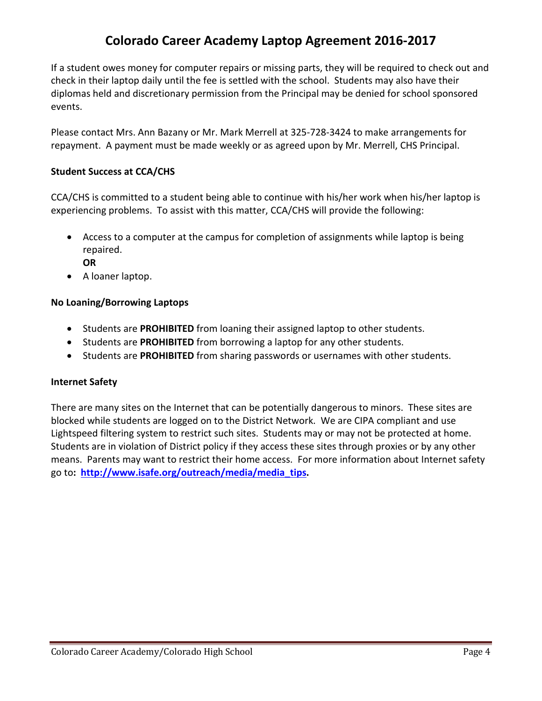If a student owes money for computer repairs or missing parts, they will be required to check out and check in their laptop daily until the fee is settled with the school. Students may also have their diplomas held and discretionary permission from the Principal may be denied for school sponsored events.

Please contact Mrs. Ann Bazany or Mr. Mark Merrell at 325-728-3424 to make arrangements for repayment. A payment must be made weekly or as agreed upon by Mr. Merrell, CHS Principal.

### **Student Success at CCA/CHS**

CCA/CHS is committed to a student being able to continue with his/her work when his/her laptop is experiencing problems. To assist with this matter, CCA/CHS will provide the following:

- Access to a computer at the campus for completion of assignments while laptop is being repaired.
	- **OR**
- A loaner laptop.

### **No Loaning/Borrowing Laptops**

- Students are **PROHIBITED** from loaning their assigned laptop to other students.
- Students are **PROHIBITED** from borrowing a laptop for any other students.
- Students are **PROHIBITED** from sharing passwords or usernames with other students.

### **Internet Safety**

There are many sites on the Internet that can be potentially dangerous to minors. These sites are blocked while students are logged on to the District Network. We are CIPA compliant and use Lightspeed filtering system to restrict such sites. Students may or may not be protected at home. Students are in violation of District policy if they access these sites through proxies or by any other means. Parents may want to restrict their home access. For more information about Internet safety go to**: [http://www.isafe.org/outreach/media/media\\_tips.](http://www.isafe.org/outreach/media/media_tips)**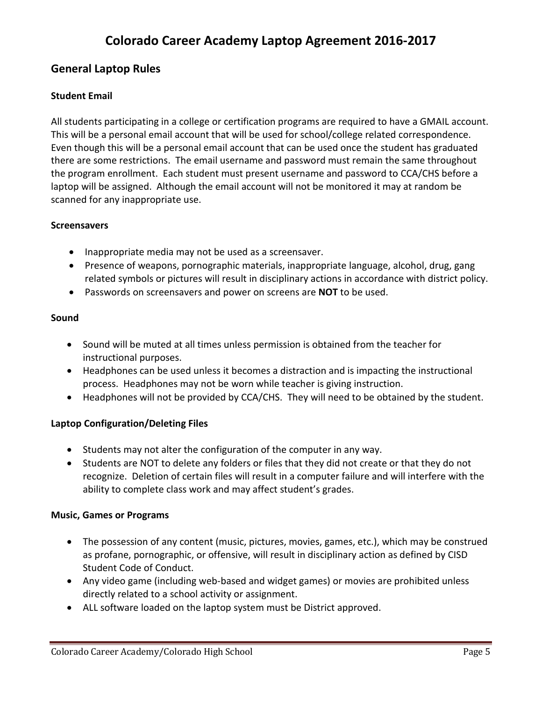### **General Laptop Rules**

### **Student Email**

All students participating in a college or certification programs are required to have a GMAIL account. This will be a personal email account that will be used for school/college related correspondence. Even though this will be a personal email account that can be used once the student has graduated there are some restrictions. The email username and password must remain the same throughout the program enrollment. Each student must present username and password to CCA/CHS before a laptop will be assigned. Although the email account will not be monitored it may at random be scanned for any inappropriate use.

### **Screensavers**

- Inappropriate media may not be used as a screensaver.
- Presence of weapons, pornographic materials, inappropriate language, alcohol, drug, gang related symbols or pictures will result in disciplinary actions in accordance with district policy.
- Passwords on screensavers and power on screens are **NOT** to be used.

### **Sound**

- Sound will be muted at all times unless permission is obtained from the teacher for instructional purposes.
- Headphones can be used unless it becomes a distraction and is impacting the instructional process. Headphones may not be worn while teacher is giving instruction.
- Headphones will not be provided by CCA/CHS. They will need to be obtained by the student.

### **Laptop Configuration/Deleting Files**

- Students may not alter the configuration of the computer in any way.
- Students are NOT to delete any folders or files that they did not create or that they do not recognize. Deletion of certain files will result in a computer failure and will interfere with the ability to complete class work and may affect student's grades.

### **Music, Games or Programs**

- The possession of any content (music, pictures, movies, games, etc.), which may be construed as profane, pornographic, or offensive, will result in disciplinary action as defined by CISD Student Code of Conduct.
- Any video game (including web-based and widget games) or movies are prohibited unless directly related to a school activity or assignment.
- ALL software loaded on the laptop system must be District approved.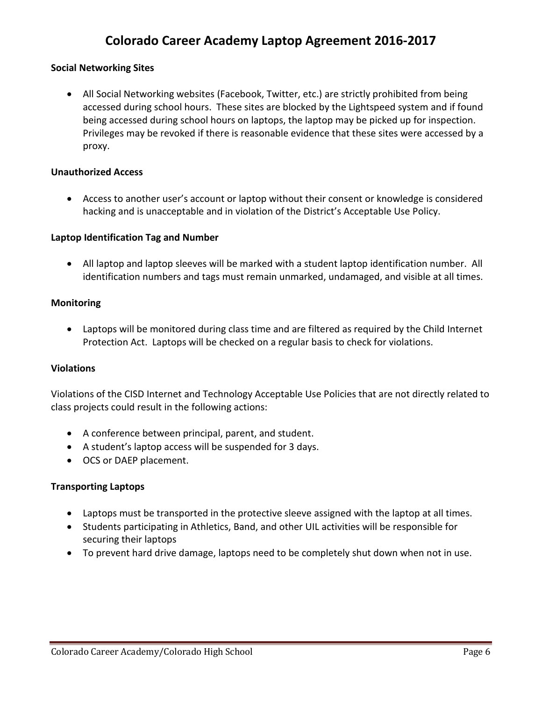### **Social Networking Sites**

• All Social Networking websites (Facebook, Twitter, etc.) are strictly prohibited from being accessed during school hours. These sites are blocked by the Lightspeed system and if found being accessed during school hours on laptops, the laptop may be picked up for inspection. Privileges may be revoked if there is reasonable evidence that these sites were accessed by a proxy.

### **Unauthorized Access**

• Access to another user's account or laptop without their consent or knowledge is considered hacking and is unacceptable and in violation of the District's Acceptable Use Policy.

### **Laptop Identification Tag and Number**

• All laptop and laptop sleeves will be marked with a student laptop identification number. All identification numbers and tags must remain unmarked, undamaged, and visible at all times.

### **Monitoring**

• Laptops will be monitored during class time and are filtered as required by the Child Internet Protection Act. Laptops will be checked on a regular basis to check for violations.

### **Violations**

Violations of the CISD Internet and Technology Acceptable Use Policies that are not directly related to class projects could result in the following actions:

- A conference between principal, parent, and student.
- A student's laptop access will be suspended for 3 days.
- OCS or DAEP placement.

### **Transporting Laptops**

- Laptops must be transported in the protective sleeve assigned with the laptop at all times.
- Students participating in Athletics, Band, and other UIL activities will be responsible for securing their laptops
- To prevent hard drive damage, laptops need to be completely shut down when not in use.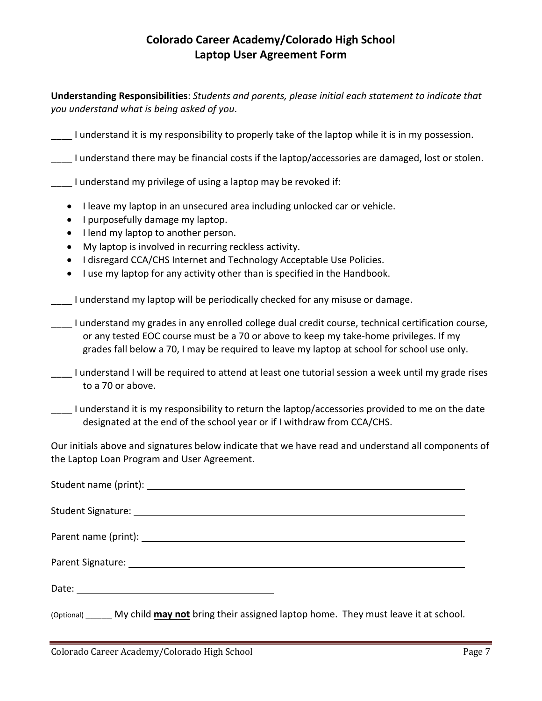## **Colorado Career Academy/Colorado High School Laptop User Agreement Form**

**Understanding Responsibilities**: *Students and parents, please initial each statement to indicate that you understand what is being asked of you*.

I understand it is my responsibility to properly take of the laptop while it is in my possession.

\_\_\_\_ I understand there may be financial costs if the laptop/accessories are damaged, lost or stolen.

\_\_\_\_ I understand my privilege of using a laptop may be revoked if:

- I leave my laptop in an unsecured area including unlocked car or vehicle.
- I purposefully damage my laptop.
- I lend my laptop to another person.
- My laptop is involved in recurring reckless activity.
- I disregard CCA/CHS Internet and Technology Acceptable Use Policies.
- I use my laptop for any activity other than is specified in the Handbook.

I understand my laptop will be periodically checked for any misuse or damage.

| I understand my grades in any enrolled college dual credit course, technical certification course, |
|----------------------------------------------------------------------------------------------------|
| or any tested EOC course must be a 70 or above to keep my take-home privileges. If my              |
| grades fall below a 70, I may be required to leave my laptop at school for school use only.        |

| I understand I will be required to attend at least one tutorial session a week until my grade rises |  |
|-----------------------------------------------------------------------------------------------------|--|
| to a 70 or above.                                                                                   |  |

\_\_\_\_ I understand it is my responsibility to return the laptop/accessories provided to me on the date designated at the end of the school year or if I withdraw from CCA/CHS.

Our initials above and signatures below indicate that we have read and understand all components of the Laptop Loan Program and User Agreement.

(Optional) \_\_\_\_\_ My child **may not** bring their assigned laptop home. They must leave it at school.